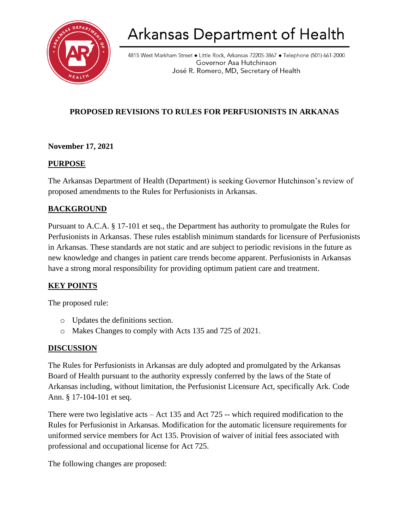

# Arkansas Department of Health

4815 West Markham Street • Little Rock, Arkansas 72205-3867 • Telephone (501) 661-2000 Governor Asa Hutchinson José R. Romero, MD, Secretary of Health

# **PROPOSED REVISIONS TO RULES FOR PERFUSIONISTS IN ARKANAS**

## **November 17, 2021**

#### **PURPOSE**

The Arkansas Department of Health (Department) is seeking Governor Hutchinson's review of proposed amendments to the Rules for Perfusionists in Arkansas.

## **BACKGROUND**

Pursuant to A.C.A. § 17-101 et seq., the Department has authority to promulgate the Rules for Perfusionists in Arkansas. These rules establish minimum standards for licensure of Perfusionists in Arkansas. These standards are not static and are subject to periodic revisions in the future as new knowledge and changes in patient care trends become apparent. Perfusionists in Arkansas have a strong moral responsibility for providing optimum patient care and treatment.

## **KEY POINTS**

The proposed rule:

- o Updates the definitions section.
- o Makes Changes to comply with Acts 135 and 725 of 2021.

## **DISCUSSION**

The Rules for Perfusionists in Arkansas are duly adopted and promulgated by the Arkansas Board of Health pursuant to the authority expressly conferred by the laws of the State of Arkansas including, without limitation, the Perfusionist Licensure Act, specifically Ark. Code Ann. § 17-104-101 et seq.

There were two legislative acts – Act 135 and Act 725 -- which required modification to the Rules for Perfusionist in Arkansas. Modification for the automatic licensure requirements for uniformed service members for Act 135. Provision of waiver of initial fees associated with professional and occupational license for Act 725.

The following changes are proposed: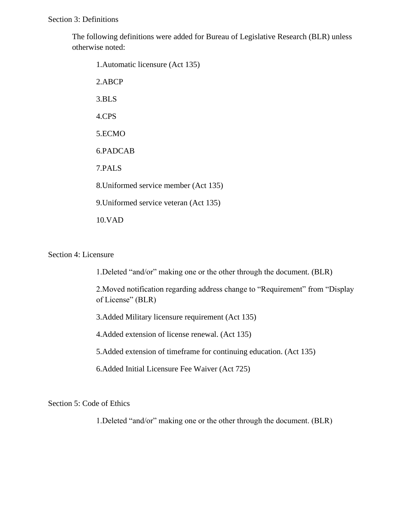The following definitions were added for Bureau of Legislative Research (BLR) unless otherwise noted:

1.Automatic licensure (Act 135) 2.ABCP 3.BLS 4.CPS 5.ECMO 6.PADCAB 7.PALS 8.Uniformed service member (Act 135) 9.Uniformed service veteran (Act 135) 10.VAD

#### Section 4: Licensure

1.Deleted "and/or" making one or the other through the document. (BLR)

2.Moved notification regarding address change to "Requirement" from "Display of License" (BLR)

3.Added Military licensure requirement (Act 135)

4.Added extension of license renewal. (Act 135)

5.Added extension of timeframe for continuing education. (Act 135)

6.Added Initial Licensure Fee Waiver (Act 725)

Section 5: Code of Ethics

1.Deleted "and/or" making one or the other through the document. (BLR)